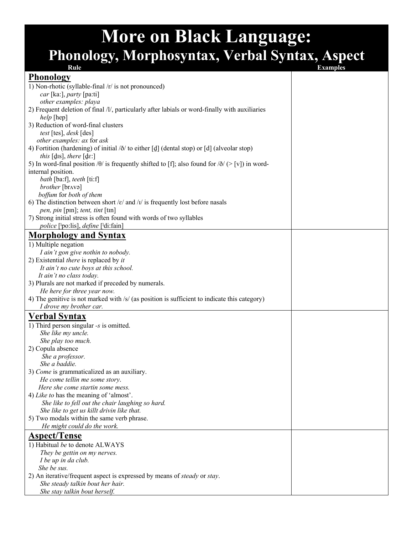## **More on Black Language: Phonology, Morphosyntax, Verbal Syntax, Aspect**

| Rule                                                                                                                 | <b>Examples</b> |
|----------------------------------------------------------------------------------------------------------------------|-----------------|
| <b>Phonology</b>                                                                                                     |                 |
| 1) Non-rhotic (syllable-final /r/ is not pronounced)                                                                 |                 |
| car [ka:], party [pa:ti]                                                                                             |                 |
| other examples: playa                                                                                                |                 |
| 2) Frequent deletion of final /l/, particularly after labials or word-finally with auxiliaries                       |                 |
| help [hep]                                                                                                           |                 |
| 3) Reduction of word-final clusters                                                                                  |                 |
| test [tes], desk [des]                                                                                               |                 |
| other examples: ax for ask                                                                                           |                 |
| 4) Fortition (hardening) of initial $\delta/$ to either [de ] (dental stop) or [d] (alveolar stop)                   |                 |
| this $[dis]$ , there $[def]$                                                                                         |                 |
| 5) In word-final position / $\theta$ / is frequently shifted to [f]; also found for / $\delta$ / $($ > [v]) in word- |                 |
| internal position.                                                                                                   |                 |
| bath [ba:f], teeth [ti:f]                                                                                            |                 |
| brother [br^və]                                                                                                      |                 |
| boffum for both of them                                                                                              |                 |
| 6) The distinction between short / $\varepsilon$ / and / $I$ / is frequently lost before nasals                      |                 |
| pen, pin [pin]; tent, tint [tin]                                                                                     |                 |
| 7) Strong initial stress is often found with words of two syllables                                                  |                 |
| police [ <sup>1</sup> po:lis], <i>define</i> [ <sup>1</sup> di:fain]                                                 |                 |
| <b>Morphology and Syntax</b>                                                                                         |                 |
| 1) Multiple negation                                                                                                 |                 |
|                                                                                                                      |                 |
| I ain't gon give nothin to nobody.<br>2) Existential <i>there</i> is replaced by <i>it</i>                           |                 |
| It ain't no cute boys at this school.                                                                                |                 |
| It ain't no class today.                                                                                             |                 |
| 3) Plurals are not marked if preceded by numerals.                                                                   |                 |
| He here for three year now.                                                                                          |                 |
| 4) The genitive is not marked with $/s/$ (as position is sufficient to indicate this category)                       |                 |
| I drove my brother car.                                                                                              |                 |
|                                                                                                                      |                 |
| <b>Verbal Syntax</b>                                                                                                 |                 |
| 1) Third person singular $-s$ is omitted.                                                                            |                 |
| She like my uncle.                                                                                                   |                 |
| She play too much.                                                                                                   |                 |
| 2) Copula absence                                                                                                    |                 |
| She a professor.                                                                                                     |                 |
| She a baddie.                                                                                                        |                 |
| 3) Come is grammaticalized as an auxiliary.                                                                          |                 |
| He come tellin me some story.                                                                                        |                 |
| Here she come startin some mess.                                                                                     |                 |
| 4) Like to has the meaning of 'almost'.                                                                              |                 |
| She like to fell out the chair laughing so hard.                                                                     |                 |
| She like to get us killt drivin like that.                                                                           |                 |
| 5) Two modals within the same verb phrase.                                                                           |                 |
| He might could do the work.                                                                                          |                 |
| <b>Aspect/Tense</b>                                                                                                  |                 |
| 1) Habitual be to denote ALWAYS                                                                                      |                 |
| They be gettin on my nerves.                                                                                         |                 |
| I be up in da club.                                                                                                  |                 |
| She be sus.                                                                                                          |                 |
| 2) An iterative/frequent aspect is expressed by means of <i>steady</i> or <i>stay</i> .                              |                 |
| She steady talkin bout her hair.                                                                                     |                 |
| She stay talkin bout herself.                                                                                        |                 |